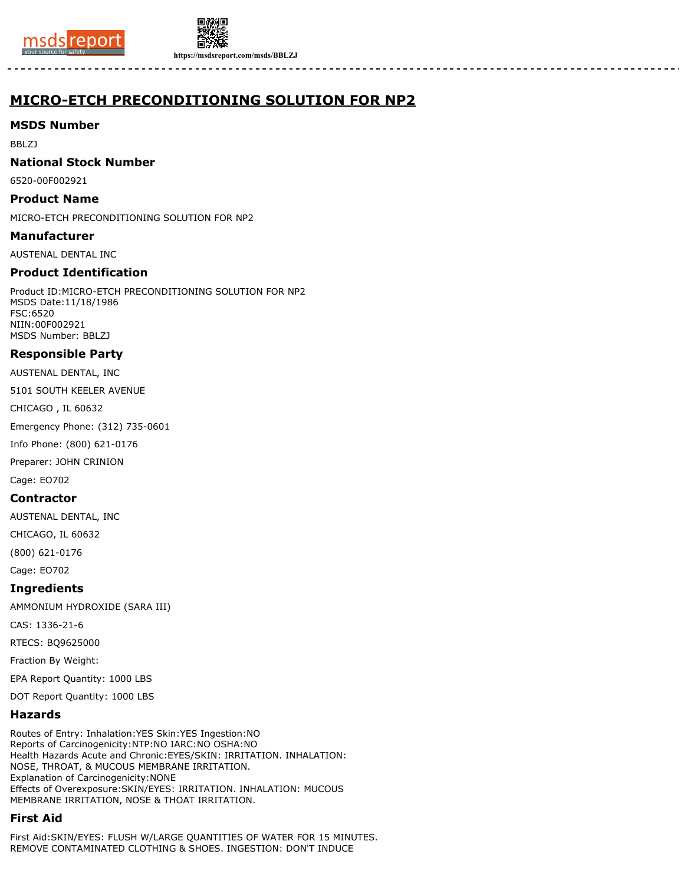



**https://msdsreport.com/msds/BBLZJ**

# **MICRO-ETCH PRECONDITIONING SOLUTION FOR NP2**

# **MSDS Number**

BBLZJ

# **National Stock Number**

6520-00F002921

# **Product Name**

MICRO-ETCH PRECONDITIONING SOLUTION FOR NP2

# **Manufacturer**

AUSTENAL DENTAL INC

# **Product Identification**

Product ID:MICRO-ETCH PRECONDITIONING SOLUTION FOR NP2 MSDS Date:11/18/1986 FSC:6520 NIIN:00F002921 MSDS Number: BBLZJ

# **Responsible Party**

AUSTENAL DENTAL, INC

5101 SOUTH KEELER AVENUE

CHICAGO , IL 60632

Emergency Phone: (312) 735-0601

Info Phone: (800) 621-0176

Preparer: JOHN CRINION

Cage: EO702

# **Contractor**

AUSTENAL DENTAL, INC

CHICAGO, IL 60632

(800) 621-0176

Cage: EO702

**Ingredients**

AMMONIUM HYDROXIDE (SARA III)

CAS: 1336-21-6

RTECS: BQ9625000

Fraction By Weight:

EPA Report Quantity: 1000 LBS

DOT Report Quantity: 1000 LBS

# **Hazards**

Routes of Entry: Inhalation:YES Skin:YES Ingestion:NO Reports of Carcinogenicity:NTP:NO IARC:NO OSHA:NO Health Hazards Acute and Chronic:EYES/SKIN: IRRITATION. INHALATION: NOSE, THROAT, & MUCOUS MEMBRANE IRRITATION. Explanation of Carcinogenicity:NONE Effects of Overexposure:SKIN/EYES: IRRITATION. INHALATION: MUCOUS MEMBRANE IRRITATION, NOSE & THOAT IRRITATION.

# **First Aid**

First Aid:SKIN/EYES: FLUSH W/LARGE QUANTITIES OF WATER FOR 15 MINUTES. REMOVE CONTAMINATED CLOTHING & SHOES. INGESTION: DON'T INDUCE